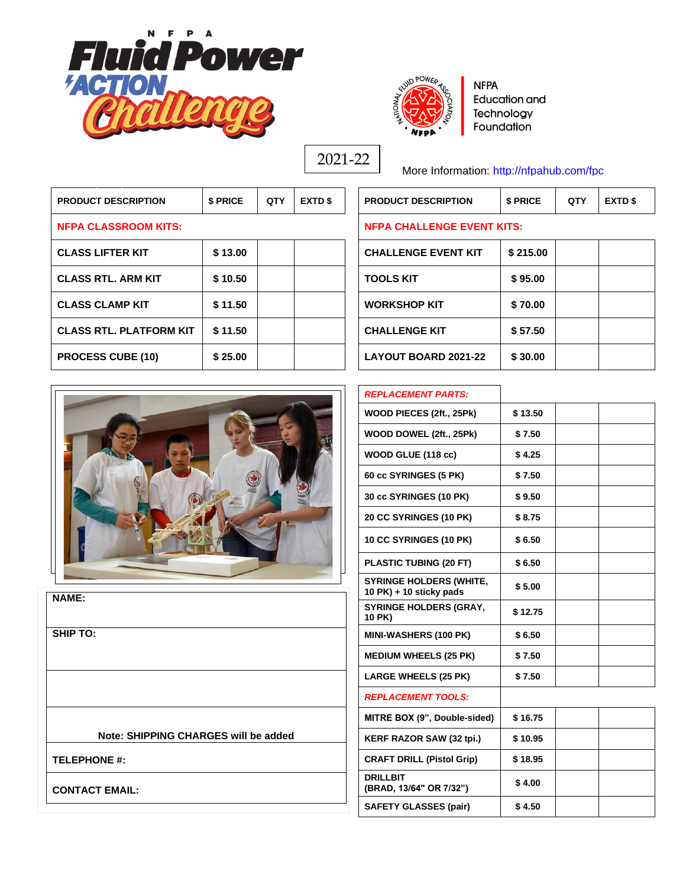



**NFPA Education and** Technology Foundation

2021-22

More Information:<http://nfpahub.com/fpc>

**PRODUCT DESCRIPTION \$ PRICE QTY EXTD \$ PRODUCT DESCRIPTION \$ PRICE QTY EXTD \$**

| <b>PRODUCT DESCRIPTION</b>     | \$ PRICE | <b>QTY</b> | <b>EXTD \$</b> | <b>PRODUCT DESCRIPTION</b>        | \$ PRICE |  |
|--------------------------------|----------|------------|----------------|-----------------------------------|----------|--|
| <b>NFPA CLASSROOM KITS:</b>    |          |            |                | <b>NFPA CHALLENGE EVENT KITS:</b> |          |  |
| <b>CLASS LIFTER KIT</b>        | \$13.00  |            |                | <b>CHALLENGE EVENT KIT</b>        | \$215.00 |  |
| <b>CLASS RTL, ARM KIT</b>      | \$10.50  |            |                | <b>TOOLS KIT</b>                  | \$95.00  |  |
| <b>CLASS CLAMP KIT</b>         | \$11.50  |            |                | <b>WORKSHOP KIT</b>               | \$70.00  |  |
| <b>CLASS RTL. PLATFORM KIT</b> | \$11.50  |            |                | <b>CHALLENGE KIT</b>              | \$57.50  |  |
| <b>PROCESS CUBE (10)</b>       | \$25.00  |            |                | <b>LAYOUT BOARD 2021-22</b>       | \$30.00  |  |

## **NFPA CHALLENGE EVENT KITS:**

*REPLACEMENT PARTS:*

| <b>CHALLENGE EVENT KIT</b>  | \$215.00 |  |
|-----------------------------|----------|--|
| <b>TOOLS KIT</b>            | \$95.00  |  |
| <b>WORKSHOP KIT</b>         | \$70.00  |  |
| <b>CHALLENGE KIT</b>        | \$57.50  |  |
| <b>LAYOUT BOARD 2021-22</b> | \$30.00  |  |

Τ

Τ



| WOOD PIECES (2ft., 25Pk)                                  | \$13.50 |  |
|-----------------------------------------------------------|---------|--|
| WOOD DOWEL (2ft., 25Pk)                                   | \$7.50  |  |
| WOOD GLUE (118 cc)                                        | \$4.25  |  |
| 60 cc SYRINGES (5 PK)                                     | \$7.50  |  |
| <b>30 cc SYRINGES (10 PK)</b>                             | \$9.50  |  |
| <b>20 CC SYRINGES (10 PK)</b>                             | \$8.75  |  |
| 10 CC SYRINGES (10 PK)                                    | \$6.50  |  |
| PLASTIC TUBING (20 FT)                                    | \$6.50  |  |
| <b>SYRINGE HOLDERS (WHITE,</b><br>10 PK) + 10 sticky pads | \$5.00  |  |
| <b>SYRINGE HOLDERS (GRAY,</b><br>10 PK)                   | \$12.75 |  |
| <b>MINI-WASHERS (100 PK)</b>                              | \$6.50  |  |
| <b>MEDIUM WHEELS (25 PK)</b>                              | \$7.50  |  |
| <b>LARGE WHEELS (25 PK)</b>                               | \$7.50  |  |
| <b>REPLACEMENT TOOLS:</b>                                 |         |  |
| MITRE BOX (9", Double-sided)                              | \$16.75 |  |
| <b>KERF RAZOR SAW (32 tpi.)</b>                           | \$10.95 |  |
| <b>CRAFT DRILL (Pistol Grip)</b>                          | \$18.95 |  |
| <b>DRILLBIT</b><br>(BRAD, 13/64" OR 7/32")                | \$4.00  |  |
| <b>SAFETY GLASSES (pair)</b>                              | \$4.50  |  |

**NAME:**

**SHIP TO:**

**Note: SHIPPING CHARGES will be added**

**TELEPHONE #:**

**CONTACT EMAIL:**